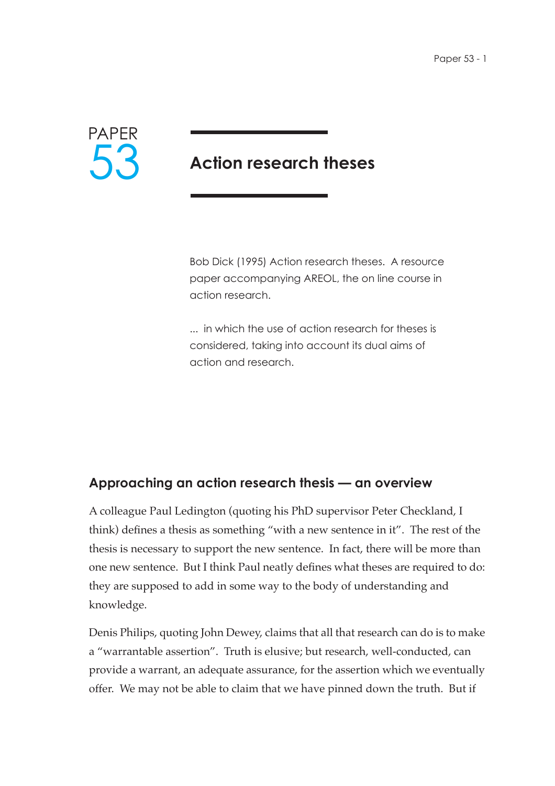

# **Action research theses**

Bob Dick (1995) Action research theses. A resource paper accompanying AREOL, the on line course in action research.

... in which the use of action research for theses is considered, taking into account its dual aims of action and research.

# **Approaching an action research thesis — an overview**

A colleague Paul Ledington (quoting his PhD supervisor Peter Checkland, I think) defines a thesis as something "with a new sentence in it". The rest of the thesis is necessary to support the new sentence. In fact, there will be more than one new sentence. But I think Paul neatly defines what theses are required to do: they are supposed to add in some way to the body of understanding and knowledge.

Denis Philips, quoting John Dewey, claims that all that research can do is to make a "warrantable assertion". Truth is elusive; but research, well-conducted, can provide a warrant, an adequate assurance, for the assertion which we eventually offer. We may not be able to claim that we have pinned down the truth. But if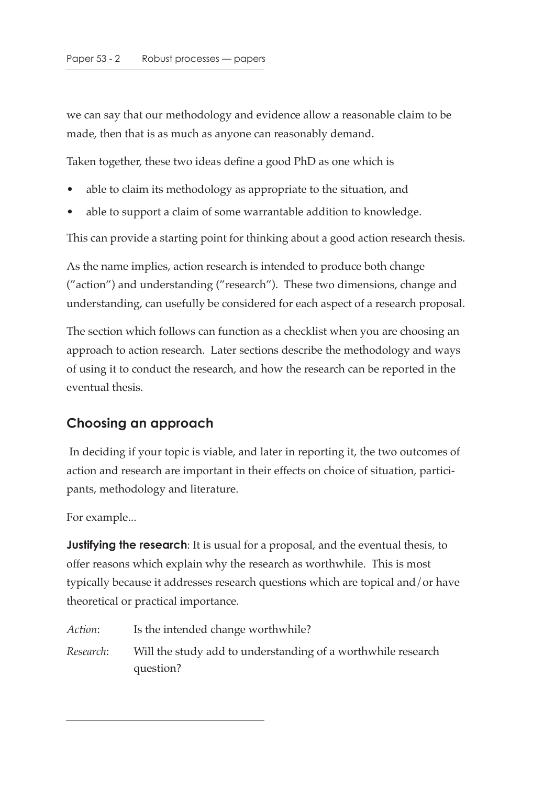we can say that our methodology and evidence allow a reasonable claim to be made, then that is as much as anyone can reasonably demand.

Taken together, these two ideas define a good PhD as one which is

- able to claim its methodology as appropriate to the situation, and
- able to support a claim of some warrantable addition to knowledge.

This can provide a starting point for thinking about a good action research thesis.

As the name implies, action research is intended to produce both change ("action") and understanding ("research"). These two dimensions, change and understanding, can usefully be considered for each aspect of a research proposal.

The section which follows can function as a checklist when you are choosing an approach to action research. Later sections describe the methodology and ways of using it to conduct the research, and how the research can be reported in the eventual thesis.

#### **Choosing an approach**

 In deciding if your topic is viable, and later in reporting it, the two outcomes of action and research are important in their effects on choice of situation, participants, methodology and literature.

For example...

**Justifying the research**: It is usual for a proposal, and the eventual thesis, to offer reasons which explain why the research as worthwhile. This is most typically because it addresses research questions which are topical and/or have theoretical or practical importance.

| Action:   | Is the intended change worthwhile?                                        |
|-----------|---------------------------------------------------------------------------|
| Research: | Will the study add to understanding of a worthwhile research<br>question? |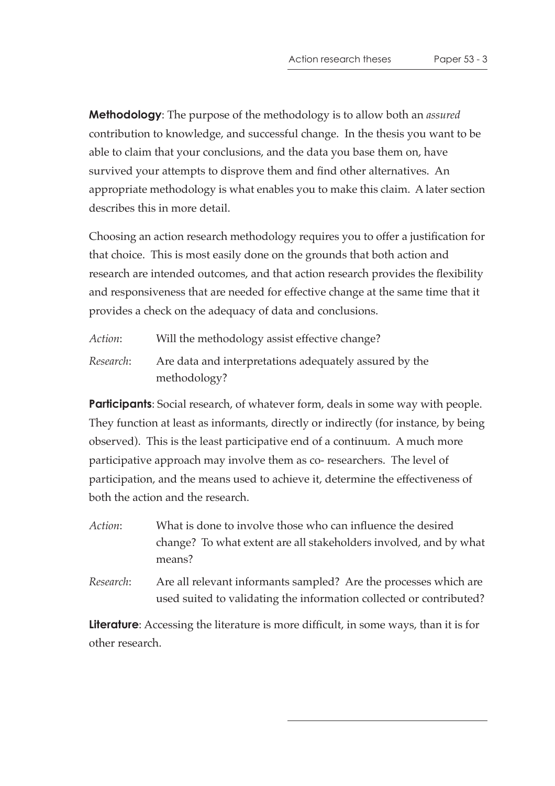**Methodology**: The purpose of the methodology is to allow both an *assured* contribution to knowledge, and successful change. In the thesis you want to be able to claim that your conclusions, and the data you base them on, have survived your attempts to disprove them and find other alternatives. An appropriate methodology is what enables you to make this claim. A later section describes this in more detail.

Choosing an action research methodology requires you to offer a justification for that choice. This is most easily done on the grounds that both action and research are intended outcomes, and that action research provides the flexibility and responsiveness that are needed for effective change at the same time that it provides a check on the adequacy of data and conclusions.

*Action*: Will the methodology assist effective change? *Research*: Are data and interpretations adequately assured by the methodology?

**Participants**: Social research, of whatever form, deals in some way with people. They function at least as informants, directly or indirectly (for instance, by being observed). This is the least participative end of a continuum. A much more participative approach may involve them as co- researchers. The level of participation, and the means used to achieve it, determine the effectiveness of both the action and the research.

- *Action*: What is done to involve those who can influence the desired change? To what extent are all stakeholders involved, and by what means?
- *Research*: Are all relevant informants sampled? Are the processes which are used suited to validating the information collected or contributed?

**Literature**: Accessing the literature is more difficult, in some ways, than it is for other research.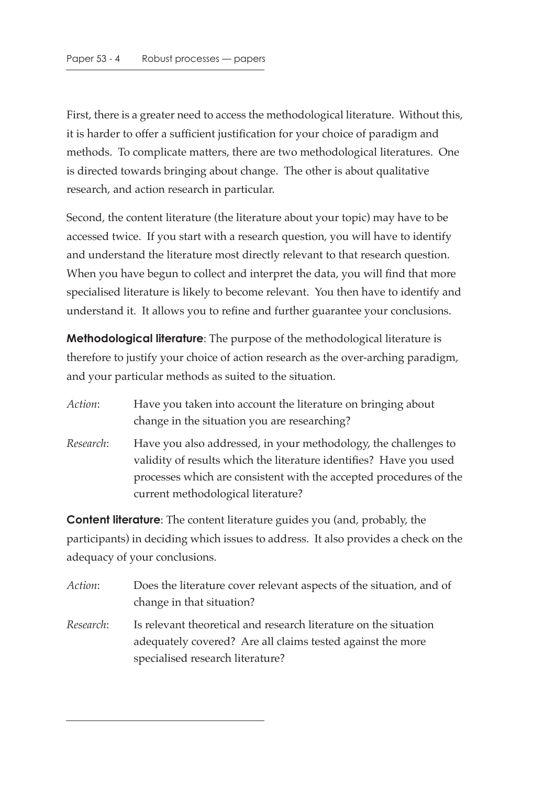First, there is a greater need to access the methodological literature. Without this, it is harder to offer a sufficient justification for your choice of paradigm and methods. To complicate matters, there are two methodological literatures. One is directed towards bringing about change. The other is about qualitative research, and action research in particular.

Second, the content literature (the literature about your topic) may have to be accessed twice. If you start with a research question, you will have to identify and understand the literature most directly relevant to that research question. When you have begun to collect and interpret the data, you will find that more specialised literature is likely to become relevant. You then have to identify and understand it. It allows you to refine and further guarantee your conclusions.

**Methodological literature**: The purpose of the methodological literature is therefore to justify your choice of action research as the over-arching paradigm, and your particular methods as suited to the situation.

| <i>Action</i> : | Have you taken into account the literature on bringing about |
|-----------------|--------------------------------------------------------------|
|                 | change in the situation you are researching?                 |

*Research*: Have you also addressed, in your methodology, the challenges to validity of results which the literature identifies? Have you used processes which are consistent with the accepted procedures of the current methodological literature?

**Content literature**: The content literature guides you (and, probably, the participants) in deciding which issues to address. It also provides a check on the adequacy of your conclusions.

| Action:   | Does the literature cover relevant aspects of the situation, and of |
|-----------|---------------------------------------------------------------------|
|           | change in that situation?                                           |
| Research: | Is relevant theoretical and research literature on the situation    |

adequately covered? Are all claims tested against the more specialised research literature?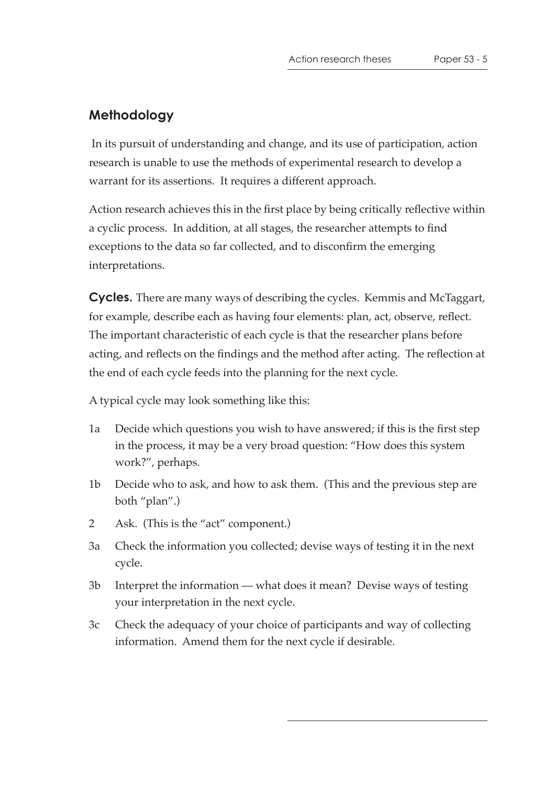## **Methodology**

 In its pursuit of understanding and change, and its use of participation, action research is unable to use the methods of experimental research to develop a warrant for its assertions. It requires a different approach.

Action research achieves this in the first place by being critically reflective within a cyclic process. In addition, at all stages, the researcher attempts to find exceptions to the data so far collected, and to disconfirm the emerging interpretations.

**Cycles.** There are many ways of describing the cycles. Kemmis and McTaggart, for example, describe each as having four elements: plan, act, observe, reflect. The important characteristic of each cycle is that the researcher plans before acting, and reflects on the findings and the method after acting. The reflection at the end of each cycle feeds into the planning for the next cycle.

A typical cycle may look something like this:

- 1a Decide which questions you wish to have answered; if this is the first step in the process, it may be a very broad question: "How does this system work?", perhaps.
- 1b Decide who to ask, and how to ask them. (This and the previous step are both "plan".)
- 2 Ask. (This is the "act" component.)
- 3a Check the information you collected; devise ways of testing it in the next cycle.
- 3b Interpret the information what does it mean? Devise ways of testing your interpretation in the next cycle.
- 3c Check the adequacy of your choice of participants and way of collecting information. Amend them for the next cycle if desirable.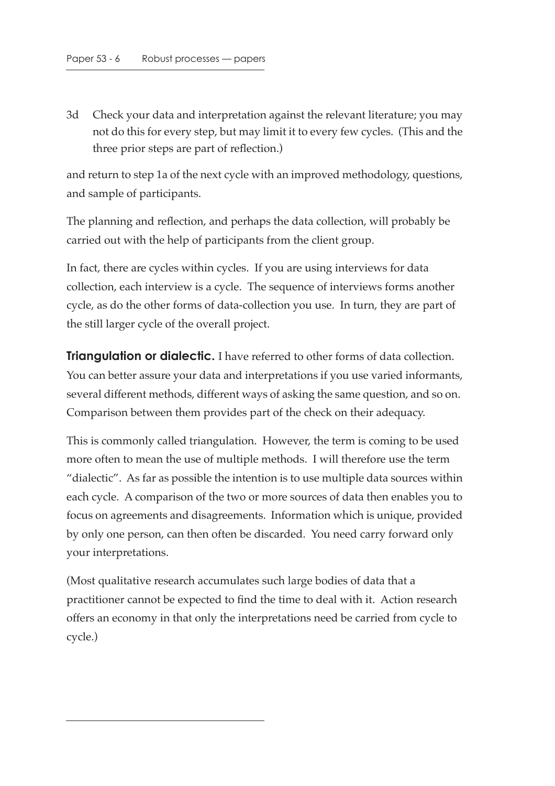3d Check your data and interpretation against the relevant literature; you may not do this for every step, but may limit it to every few cycles. (This and the three prior steps are part of reflection.)

and return to step 1a of the next cycle with an improved methodology, questions, and sample of participants.

The planning and reflection, and perhaps the data collection, will probably be carried out with the help of participants from the client group.

In fact, there are cycles within cycles. If you are using interviews for data collection, each interview is a cycle. The sequence of interviews forms another cycle, as do the other forms of data-collection you use. In turn, they are part of the still larger cycle of the overall project.

**Triangulation or dialectic.** I have referred to other forms of data collection. You can better assure your data and interpretations if you use varied informants, several different methods, different ways of asking the same question, and so on. Comparison between them provides part of the check on their adequacy.

This is commonly called triangulation. However, the term is coming to be used more often to mean the use of multiple methods. I will therefore use the term "dialectic". As far as possible the intention is to use multiple data sources within each cycle. A comparison of the two or more sources of data then enables you to focus on agreements and disagreements. Information which is unique, provided by only one person, can then often be discarded. You need carry forward only your interpretations.

(Most qualitative research accumulates such large bodies of data that a practitioner cannot be expected to find the time to deal with it. Action research offers an economy in that only the interpretations need be carried from cycle to cycle.)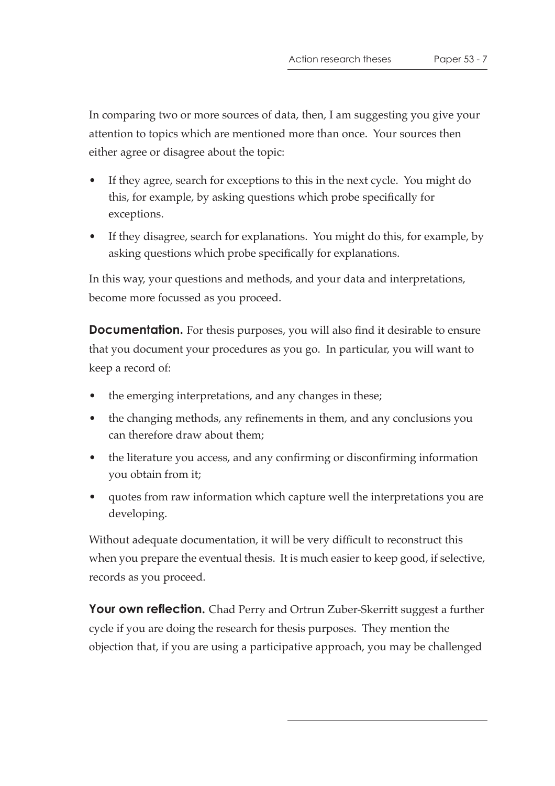In comparing two or more sources of data, then, I am suggesting you give your attention to topics which are mentioned more than once. Your sources then either agree or disagree about the topic:

- If they agree, search for exceptions to this in the next cycle. You might do this, for example, by asking questions which probe specifically for exceptions.
- If they disagree, search for explanations. You might do this, for example, by asking questions which probe specifically for explanations.

In this way, your questions and methods, and your data and interpretations, become more focussed as you proceed.

**Documentation.** For thesis purposes, you will also find it desirable to ensure that you document your procedures as you go. In particular, you will want to keep a record of:

- the emerging interpretations, and any changes in these;
- the changing methods, any refinements in them, and any conclusions you can therefore draw about them;
- the literature you access, and any confirming or disconfirming information you obtain from it;
- quotes from raw information which capture well the interpretations you are developing.

Without adequate documentation, it will be very difficult to reconstruct this when you prepare the eventual thesis. It is much easier to keep good, if selective, records as you proceed.

**Your own reflection.** Chad Perry and Ortrun Zuber-Skerritt suggest a further cycle if you are doing the research for thesis purposes. They mention the objection that, if you are using a participative approach, you may be challenged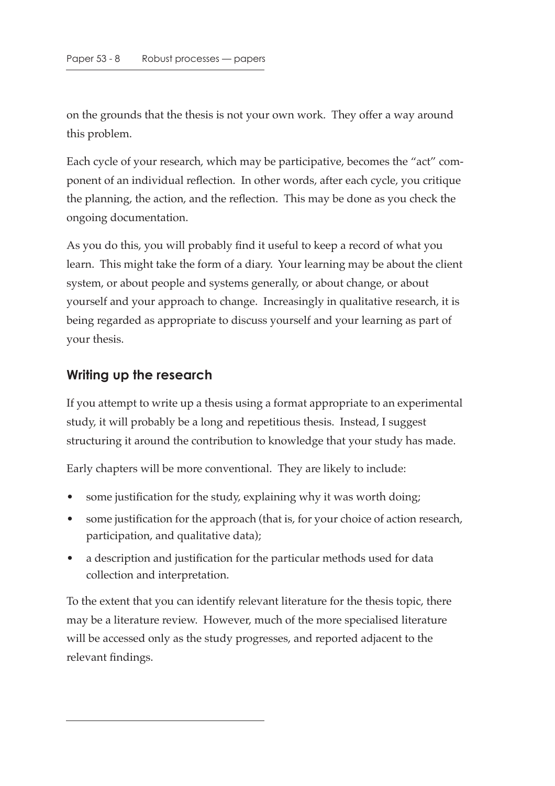on the grounds that the thesis is not your own work. They offer a way around this problem.

Each cycle of your research, which may be participative, becomes the "act" component of an individual reflection. In other words, after each cycle, you critique the planning, the action, and the reflection. This may be done as you check the ongoing documentation.

As you do this, you will probably find it useful to keep a record of what you learn. This might take the form of a diary. Your learning may be about the client system, or about people and systems generally, or about change, or about yourself and your approach to change. Increasingly in qualitative research, it is being regarded as appropriate to discuss yourself and your learning as part of your thesis.

## **Writing up the research**

If you attempt to write up a thesis using a format appropriate to an experimental study, it will probably be a long and repetitious thesis. Instead, I suggest structuring it around the contribution to knowledge that your study has made.

Early chapters will be more conventional. They are likely to include:

- some justification for the study, explaining why it was worth doing;
- some justification for the approach (that is, for your choice of action research, participation, and qualitative data);
- a description and justification for the particular methods used for data collection and interpretation.

To the extent that you can identify relevant literature for the thesis topic, there may be a literature review. However, much of the more specialised literature will be accessed only as the study progresses, and reported adjacent to the relevant findings.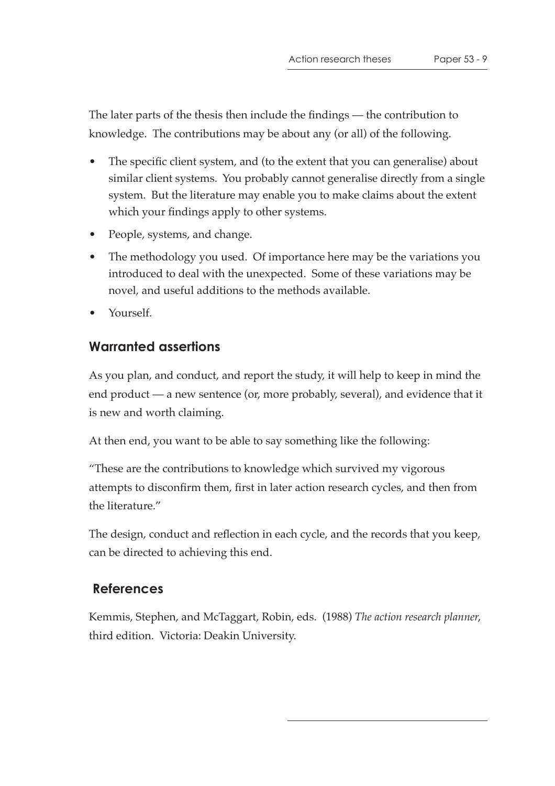The later parts of the thesis then include the findings — the contribution to knowledge. The contributions may be about any (or all) of the following.

- The specific client system, and (to the extent that you can generalise) about similar client systems. You probably cannot generalise directly from a single system. But the literature may enable you to make claims about the extent which your findings apply to other systems.
- People, systems, and change.
- The methodology you used. Of importance here may be the variations you introduced to deal with the unexpected. Some of these variations may be novel, and useful additions to the methods available.
- Yourself.

#### **Warranted assertions**

As you plan, and conduct, and report the study, it will help to keep in mind the end product — a new sentence (or, more probably, several), and evidence that it is new and worth claiming.

At then end, you want to be able to say something like the following:

"These are the contributions to knowledge which survived my vigorous attempts to disconfirm them, first in later action research cycles, and then from the literature."

The design, conduct and reflection in each cycle, and the records that you keep, can be directed to achieving this end.

## **References**

Kemmis, Stephen, and McTaggart, Robin, eds. (1988) *The action research planner*, third edition. Victoria: Deakin University.